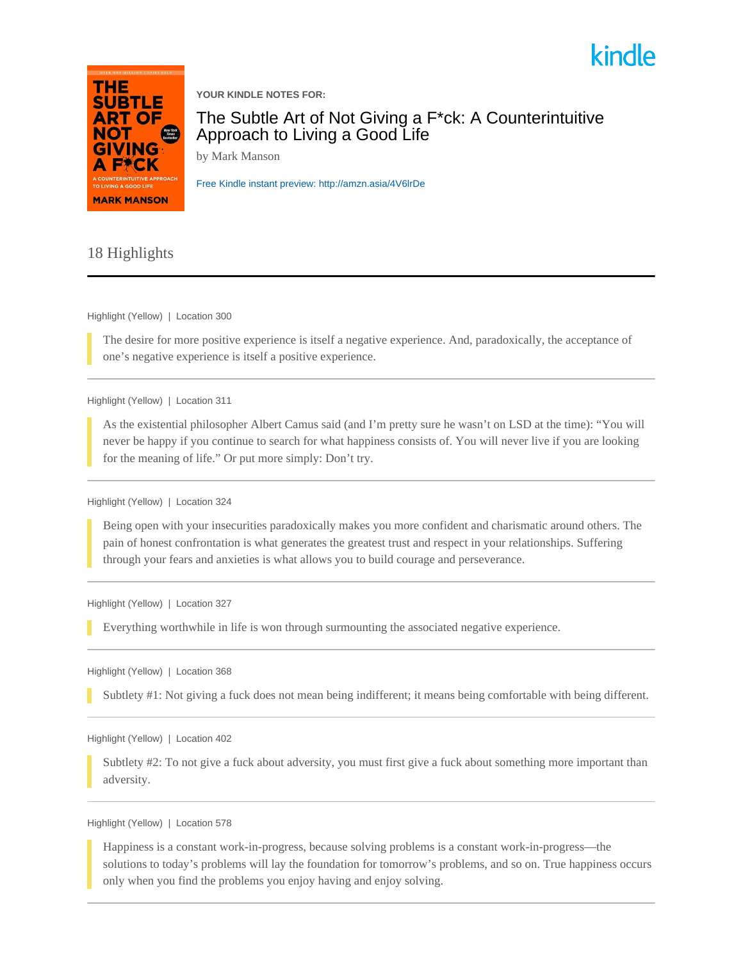



**YOUR KINDLE NOTES FOR:**

The Subtle Art of Not Giving a F\*ck: A Counterintuitive Approach to Living a Good Life

by Mark Manson

[Free Kindle instant preview: http://amzn.asia/4V6lrDe](http://amzn.asia/4V6lrDe)

## 18 Highlights

Highlight (Yellow) | Location 300

The desire for more positive experience is itself a negative experience. And, paradoxically, the acceptance of one's negative experience is itself a positive experience.

Highlight (Yellow) | Location 311

As the existential philosopher Albert Camus said (and I'm pretty sure he wasn't on LSD at the time): "You will never be happy if you continue to search for what happiness consists of. You will never live if you are looking for the meaning of life." Or put more simply: Don't try.

Highlight (Yellow) | Location 324

Being open with your insecurities paradoxically makes you more confident and charismatic around others. The pain of honest confrontation is what generates the greatest trust and respect in your relationships. Suffering through your fears and anxieties is what allows you to build courage and perseverance.

Highlight (Yellow) | Location 327

Everything worthwhile in life is won through surmounting the associated negative experience.

Highlight (Yellow) | Location 368

Subtlety #1: Not giving a fuck does not mean being indifferent; it means being comfortable with being different.

Highlight (Yellow) | Location 402

Subtlety #2: To not give a fuck about adversity, you must first give a fuck about something more important than adversity.

Highlight (Yellow) | Location 578

Happiness is a constant work-in-progress, because solving problems is a constant work-in-progress—the solutions to today's problems will lay the foundation for tomorrow's problems, and so on. True happiness occurs only when you find the problems you enjoy having and enjoy solving.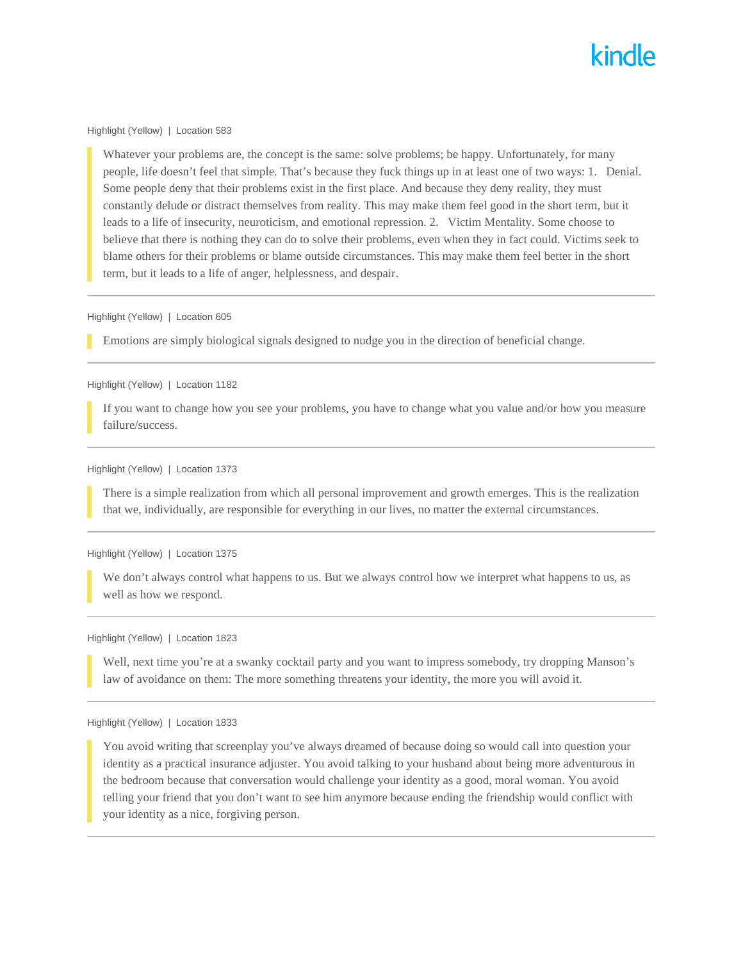## kindle

Highlight (Yellow) | Location 583

Whatever your problems are, the concept is the same: solve problems; be happy. Unfortunately, for many people, life doesn't feel that simple. That's because they fuck things up in at least one of two ways: 1. Denial. Some people deny that their problems exist in the first place. And because they deny reality, they must constantly delude or distract themselves from reality. This may make them feel good in the short term, but it leads to a life of insecurity, neuroticism, and emotional repression. 2. Victim Mentality. Some choose to believe that there is nothing they can do to solve their problems, even when they in fact could. Victims seek to blame others for their problems or blame outside circumstances. This may make them feel better in the short term, but it leads to a life of anger, helplessness, and despair.

Highlight (Yellow) | Location 605

Emotions are simply biological signals designed to nudge you in the direction of beneficial change.

Highlight (Yellow) | Location 1182

If you want to change how you see your problems, you have to change what you value and/or how you measure failure/success.

Highlight (Yellow) | Location 1373

There is a simple realization from which all personal improvement and growth emerges. This is the realization that we, individually, are responsible for everything in our lives, no matter the external circumstances.

Highlight (Yellow) | Location 1375

We don't always control what happens to us. But we always control how we interpret what happens to us, as well as how we respond.

Highlight (Yellow) | Location 1823

Well, next time you're at a swanky cocktail party and you want to impress somebody, try dropping Manson's law of avoidance on them: The more something threatens your identity, the more you will avoid it.

Highlight (Yellow) | Location 1833

You avoid writing that screenplay you've always dreamed of because doing so would call into question your identity as a practical insurance adjuster. You avoid talking to your husband about being more adventurous in the bedroom because that conversation would challenge your identity as a good, moral woman. You avoid telling your friend that you don't want to see him anymore because ending the friendship would conflict with your identity as a nice, forgiving person.